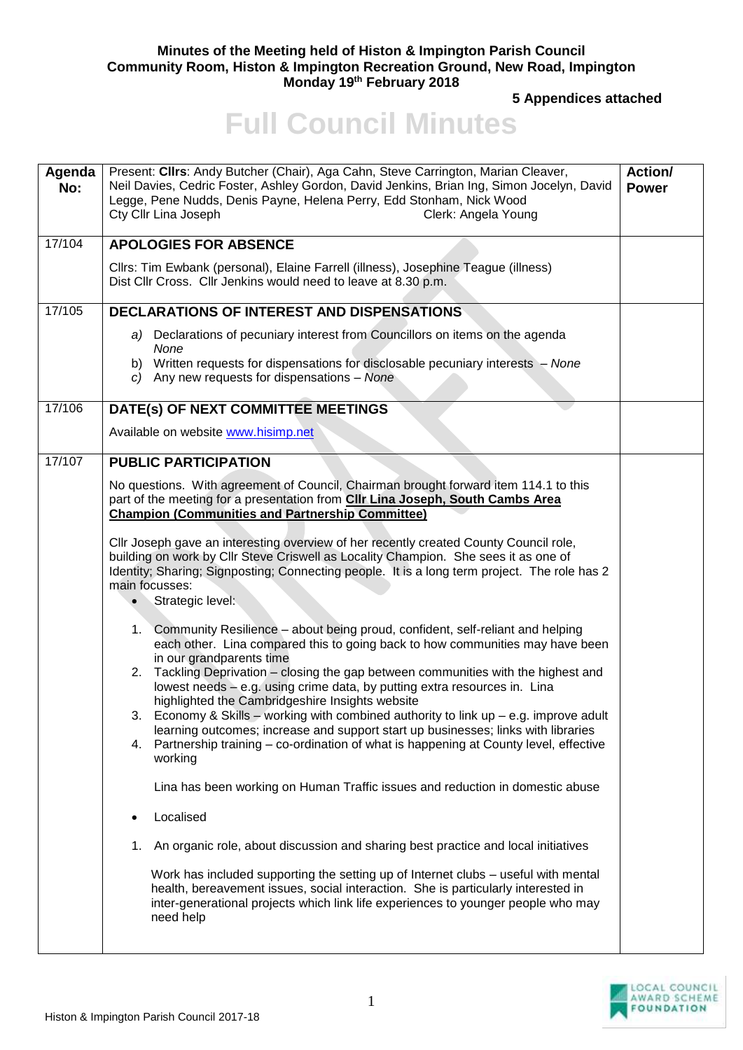## **Minutes of the Meeting held of Histon & Impington Parish Council Community Room, Histon & Impington Recreation Ground, New Road, Impington Monday 19 th February 2018**

**5 Appendices attached** 

## **Full Council Minutes**

| Agenda<br>No: | Present: Clirs: Andy Butcher (Chair), Aga Cahn, Steve Carrington, Marian Cleaver,<br>Neil Davies, Cedric Foster, Ashley Gordon, David Jenkins, Brian Ing, Simon Jocelyn, David<br>Legge, Pene Nudds, Denis Payne, Helena Perry, Edd Stonham, Nick Wood<br>Cty Cllr Lina Joseph<br>Clerk: Angela Young                                                                                                                                                                                                                                                                                                                                                                                                      | Action/<br><b>Power</b> |
|---------------|------------------------------------------------------------------------------------------------------------------------------------------------------------------------------------------------------------------------------------------------------------------------------------------------------------------------------------------------------------------------------------------------------------------------------------------------------------------------------------------------------------------------------------------------------------------------------------------------------------------------------------------------------------------------------------------------------------|-------------------------|
| 17/104        | <b>APOLOGIES FOR ABSENCE</b>                                                                                                                                                                                                                                                                                                                                                                                                                                                                                                                                                                                                                                                                               |                         |
|               | Cllrs: Tim Ewbank (personal), Elaine Farrell (illness), Josephine Teague (illness)<br>Dist Cllr Cross. Cllr Jenkins would need to leave at 8.30 p.m.                                                                                                                                                                                                                                                                                                                                                                                                                                                                                                                                                       |                         |
| 17/105        | <b>DECLARATIONS OF INTEREST AND DISPENSATIONS</b>                                                                                                                                                                                                                                                                                                                                                                                                                                                                                                                                                                                                                                                          |                         |
|               | a) Declarations of pecuniary interest from Councillors on items on the agenda<br>None<br>b) Written requests for dispensations for disclosable pecuniary interests - None<br>c) Any new requests for dispensations $-$ None                                                                                                                                                                                                                                                                                                                                                                                                                                                                                |                         |
| 17/106        | DATE(s) OF NEXT COMMITTEE MEETINGS                                                                                                                                                                                                                                                                                                                                                                                                                                                                                                                                                                                                                                                                         |                         |
|               | Available on website www.hisimp.net                                                                                                                                                                                                                                                                                                                                                                                                                                                                                                                                                                                                                                                                        |                         |
| 17/107        | <b>PUBLIC PARTICIPATION</b>                                                                                                                                                                                                                                                                                                                                                                                                                                                                                                                                                                                                                                                                                |                         |
|               | No questions. With agreement of Council, Chairman brought forward item 114.1 to this<br>part of the meeting for a presentation from CIIr Lina Joseph, South Cambs Area<br><b>Champion (Communities and Partnership Committee)</b>                                                                                                                                                                                                                                                                                                                                                                                                                                                                          |                         |
|               | Cllr Joseph gave an interesting overview of her recently created County Council role,<br>building on work by Cllr Steve Criswell as Locality Champion. She sees it as one of<br>Identity; Sharing; Signposting; Connecting people. It is a long term project. The role has 2<br>main focusses:<br>Strategic level:                                                                                                                                                                                                                                                                                                                                                                                         |                         |
|               | Community Resilience - about being proud, confident, self-reliant and helping<br>1.<br>each other. Lina compared this to going back to how communities may have been<br>in our grandparents time<br>2. Tackling Deprivation – closing the gap between communities with the highest and<br>lowest needs - e.g. using crime data, by putting extra resources in. Lina<br>highlighted the Cambridgeshire Insights website<br>3. Economy & Skills – working with combined authority to link up – e.g. improve adult<br>learning outcomes; increase and support start up businesses; links with libraries<br>4. Partnership training – co-ordination of what is happening at County level, effective<br>working |                         |
|               | Lina has been working on Human Traffic issues and reduction in domestic abuse                                                                                                                                                                                                                                                                                                                                                                                                                                                                                                                                                                                                                              |                         |
|               | Localised                                                                                                                                                                                                                                                                                                                                                                                                                                                                                                                                                                                                                                                                                                  |                         |
|               | An organic role, about discussion and sharing best practice and local initiatives<br>1.                                                                                                                                                                                                                                                                                                                                                                                                                                                                                                                                                                                                                    |                         |
|               | Work has included supporting the setting up of Internet clubs - useful with mental<br>health, bereavement issues, social interaction. She is particularly interested in<br>inter-generational projects which link life experiences to younger people who may<br>need help                                                                                                                                                                                                                                                                                                                                                                                                                                  |                         |
|               |                                                                                                                                                                                                                                                                                                                                                                                                                                                                                                                                                                                                                                                                                                            |                         |

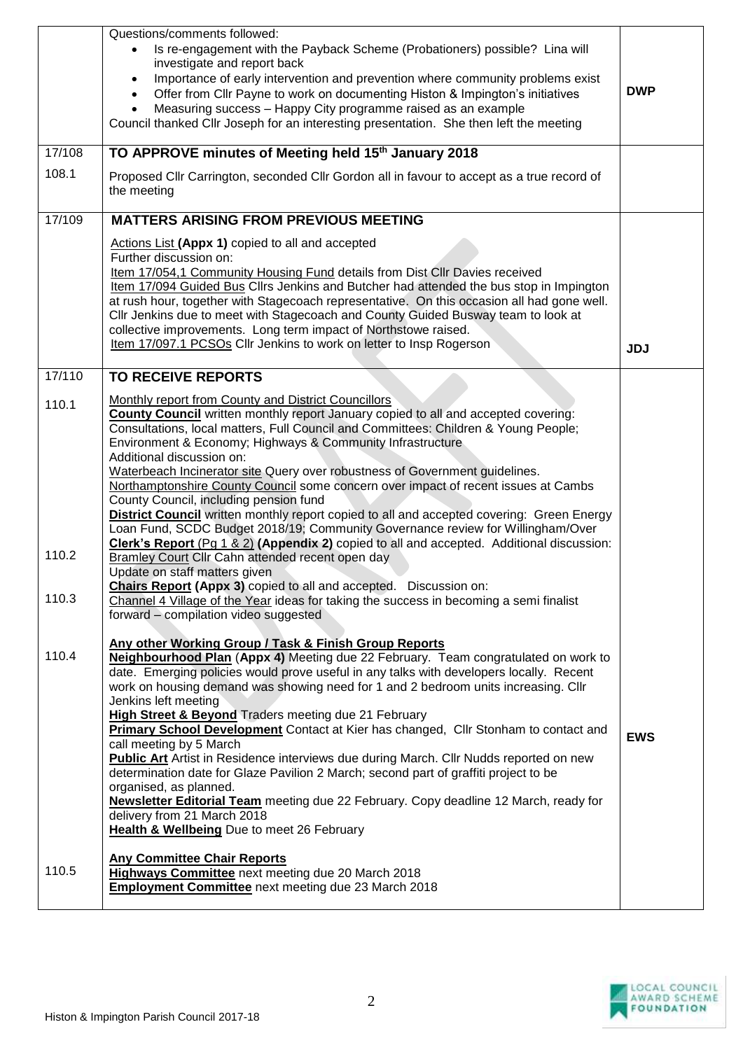|                                  | Questions/comments followed:<br>Is re-engagement with the Payback Scheme (Probationers) possible? Lina will<br>investigate and report back<br>Importance of early intervention and prevention where community problems exist<br>$\bullet$<br>Offer from Cllr Payne to work on documenting Histon & Impington's initiatives<br>$\bullet$<br>Measuring success - Happy City programme raised as an example<br>$\bullet$<br>Council thanked Cllr Joseph for an interesting presentation. She then left the meeting                                                                                                                                                                                                                                                                                                                                                                                                                                                                                                                                                                                                                                                                                                                                                                                                                                                                                                                                                               | <b>DWP</b> |
|----------------------------------|-------------------------------------------------------------------------------------------------------------------------------------------------------------------------------------------------------------------------------------------------------------------------------------------------------------------------------------------------------------------------------------------------------------------------------------------------------------------------------------------------------------------------------------------------------------------------------------------------------------------------------------------------------------------------------------------------------------------------------------------------------------------------------------------------------------------------------------------------------------------------------------------------------------------------------------------------------------------------------------------------------------------------------------------------------------------------------------------------------------------------------------------------------------------------------------------------------------------------------------------------------------------------------------------------------------------------------------------------------------------------------------------------------------------------------------------------------------------------------|------------|
| 17/108                           | TO APPROVE minutes of Meeting held 15th January 2018                                                                                                                                                                                                                                                                                                                                                                                                                                                                                                                                                                                                                                                                                                                                                                                                                                                                                                                                                                                                                                                                                                                                                                                                                                                                                                                                                                                                                          |            |
| 108.1                            | Proposed Cllr Carrington, seconded Cllr Gordon all in favour to accept as a true record of<br>the meeting                                                                                                                                                                                                                                                                                                                                                                                                                                                                                                                                                                                                                                                                                                                                                                                                                                                                                                                                                                                                                                                                                                                                                                                                                                                                                                                                                                     |            |
| 17/109                           | <b>MATTERS ARISING FROM PREVIOUS MEETING</b>                                                                                                                                                                                                                                                                                                                                                                                                                                                                                                                                                                                                                                                                                                                                                                                                                                                                                                                                                                                                                                                                                                                                                                                                                                                                                                                                                                                                                                  |            |
|                                  | Actions List (Appx 1) copied to all and accepted<br>Further discussion on:<br>Item 17/054,1 Community Housing Fund details from Dist Cllr Davies received<br>Item 17/094 Guided Bus Clirs Jenkins and Butcher had attended the bus stop in Impington<br>at rush hour, together with Stagecoach representative. On this occasion all had gone well.<br>CIIr Jenkins due to meet with Stagecoach and County Guided Busway team to look at<br>collective improvements. Long term impact of Northstowe raised.<br>Item 17/097.1 PCSOs Cllr Jenkins to work on letter to Insp Rogerson                                                                                                                                                                                                                                                                                                                                                                                                                                                                                                                                                                                                                                                                                                                                                                                                                                                                                             | <b>JDJ</b> |
| 17/110                           | <b>TO RECEIVE REPORTS</b>                                                                                                                                                                                                                                                                                                                                                                                                                                                                                                                                                                                                                                                                                                                                                                                                                                                                                                                                                                                                                                                                                                                                                                                                                                                                                                                                                                                                                                                     |            |
| 110.1<br>110.2<br>110.3<br>110.4 | Monthly report from County and District Councillors<br><b>County Council</b> written monthly report January copied to all and accepted covering:<br>Consultations, local matters, Full Council and Committees: Children & Young People;<br>Environment & Economy; Highways & Community Infrastructure<br>Additional discussion on:<br>Waterbeach Incinerator site Query over robustness of Government guidelines.<br>Northamptonshire County Council some concern over impact of recent issues at Cambs<br>County Council, including pension fund<br>District Council written monthly report copied to all and accepted covering: Green Energy<br>Loan Fund, SCDC Budget 2018/19; Community Governance review for Willingham/Over<br><b>Clerk's Report (Pg 1 &amp; 2) (Appendix 2)</b> copied to all and accepted. Additional discussion:<br>Bramley Court Cllr Cahn attended recent open day<br>Update on staff matters given<br><b>Chairs Report (Appx 3)</b> copied to all and accepted. Discussion on:<br>Channel 4 Village of the Year ideas for taking the success in becoming a semi finalist<br>forward - compilation video suggested<br>Any other Working Group / Task & Finish Group Reports<br>Neighbourhood Plan (Appx 4) Meeting due 22 February. Team congratulated on work to<br>date. Emerging policies would prove useful in any talks with developers locally. Recent<br>work on housing demand was showing need for 1 and 2 bedroom units increasing. Cllr |            |
|                                  | Jenkins left meeting<br><b>High Street &amp; Beyond Traders meeting due 21 February</b><br>Primary School Development Contact at Kier has changed, Cllr Stonham to contact and<br>call meeting by 5 March<br><b>Public Art</b> Artist in Residence interviews due during March. Cllr Nudds reported on new<br>determination date for Glaze Pavilion 2 March; second part of graffiti project to be<br>organised, as planned.<br><b>Newsletter Editorial Team</b> meeting due 22 February. Copy deadline 12 March, ready for<br>delivery from 21 March 2018<br>Health & Wellbeing Due to meet 26 February                                                                                                                                                                                                                                                                                                                                                                                                                                                                                                                                                                                                                                                                                                                                                                                                                                                                      | <b>EWS</b> |
| 110.5                            | <b>Any Committee Chair Reports</b><br>Highways Committee next meeting due 20 March 2018<br>Employment Committee next meeting due 23 March 2018                                                                                                                                                                                                                                                                                                                                                                                                                                                                                                                                                                                                                                                                                                                                                                                                                                                                                                                                                                                                                                                                                                                                                                                                                                                                                                                                |            |

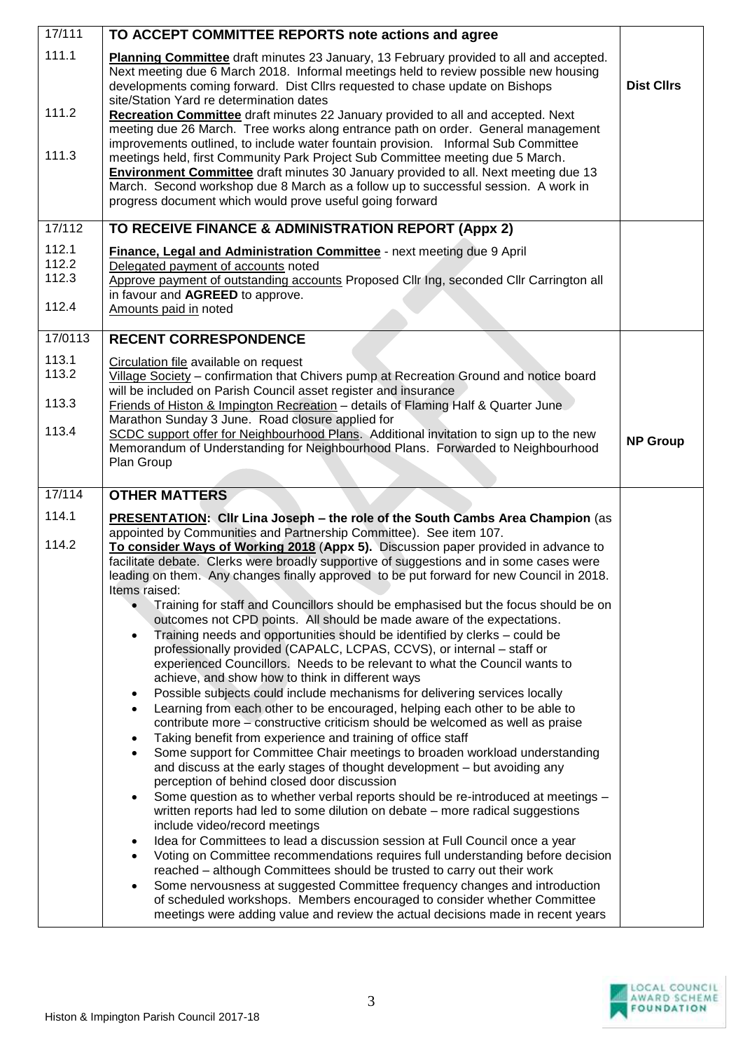| 17/111                  | TO ACCEPT COMMITTEE REPORTS note actions and agree                                                                                                                                                                                                                                                                                                                                                                                                                                                                                                                                                                                                                                                                                                                                                                                                                                                          |                   |
|-------------------------|-------------------------------------------------------------------------------------------------------------------------------------------------------------------------------------------------------------------------------------------------------------------------------------------------------------------------------------------------------------------------------------------------------------------------------------------------------------------------------------------------------------------------------------------------------------------------------------------------------------------------------------------------------------------------------------------------------------------------------------------------------------------------------------------------------------------------------------------------------------------------------------------------------------|-------------------|
| 111.1<br>111.2<br>111.3 | Planning Committee draft minutes 23 January, 13 February provided to all and accepted.<br>Next meeting due 6 March 2018. Informal meetings held to review possible new housing<br>developments coming forward. Dist Cllrs requested to chase update on Bishops<br>site/Station Yard re determination dates<br>Recreation Committee draft minutes 22 January provided to all and accepted. Next<br>meeting due 26 March. Tree works along entrance path on order. General management<br>improvements outlined, to include water fountain provision. Informal Sub Committee<br>meetings held, first Community Park Project Sub Committee meeting due 5 March.<br><b>Environment Committee</b> draft minutes 30 January provided to all. Next meeting due 13<br>March. Second workshop due 8 March as a follow up to successful session. A work in<br>progress document which would prove useful going forward | <b>Dist Cllrs</b> |
| 17/112                  | TO RECEIVE FINANCE & ADMINISTRATION REPORT (Appx 2)                                                                                                                                                                                                                                                                                                                                                                                                                                                                                                                                                                                                                                                                                                                                                                                                                                                         |                   |
| 112.1                   | Finance, Legal and Administration Committee - next meeting due 9 April                                                                                                                                                                                                                                                                                                                                                                                                                                                                                                                                                                                                                                                                                                                                                                                                                                      |                   |
| 112.2<br>112.3          | Delegated payment of accounts noted<br>Approve payment of outstanding accounts Proposed Cllr Ing, seconded Cllr Carrington all                                                                                                                                                                                                                                                                                                                                                                                                                                                                                                                                                                                                                                                                                                                                                                              |                   |
| 112.4                   | in favour and AGREED to approve.<br>Amounts paid in noted                                                                                                                                                                                                                                                                                                                                                                                                                                                                                                                                                                                                                                                                                                                                                                                                                                                   |                   |
| 17/0113                 | <b>RECENT CORRESPONDENCE</b>                                                                                                                                                                                                                                                                                                                                                                                                                                                                                                                                                                                                                                                                                                                                                                                                                                                                                |                   |
| 113.1                   | Circulation file available on request                                                                                                                                                                                                                                                                                                                                                                                                                                                                                                                                                                                                                                                                                                                                                                                                                                                                       |                   |
| 113.2<br>113.3          | Village Society - confirmation that Chivers pump at Recreation Ground and notice board<br>will be included on Parish Council asset register and insurance<br>Friends of Histon & Impington Recreation - details of Flaming Half & Quarter June                                                                                                                                                                                                                                                                                                                                                                                                                                                                                                                                                                                                                                                              |                   |
|                         | Marathon Sunday 3 June. Road closure applied for                                                                                                                                                                                                                                                                                                                                                                                                                                                                                                                                                                                                                                                                                                                                                                                                                                                            |                   |
| 113.4                   | SCDC support offer for Neighbourhood Plans. Additional invitation to sign up to the new<br>Memorandum of Understanding for Neighbourhood Plans. Forwarded to Neighbourhood<br>Plan Group                                                                                                                                                                                                                                                                                                                                                                                                                                                                                                                                                                                                                                                                                                                    | <b>NP Group</b>   |
| 17/114                  | <b>OTHER MATTERS</b>                                                                                                                                                                                                                                                                                                                                                                                                                                                                                                                                                                                                                                                                                                                                                                                                                                                                                        |                   |
| 114.1                   | <b>PRESENTATION: Cllr Lina Joseph - the role of the South Cambs Area Champion (as</b>                                                                                                                                                                                                                                                                                                                                                                                                                                                                                                                                                                                                                                                                                                                                                                                                                       |                   |
| 114.2                   | appointed by Communities and Partnership Committee). See item 107.<br>To consider Ways of Working 2018 (Appx 5). Discussion paper provided in advance to<br>facilitate debate. Clerks were broadly supportive of suggestions and in some cases were<br>leading on them. Any changes finally approved to be put forward for new Council in 2018.<br>Items raised:                                                                                                                                                                                                                                                                                                                                                                                                                                                                                                                                            |                   |
|                         | Training for staff and Councillors should be emphasised but the focus should be on<br>outcomes not CPD points. All should be made aware of the expectations.<br>Training needs and opportunities should be identified by clerks - could be<br>$\bullet$<br>professionally provided (CAPALC, LCPAS, CCVS), or internal - staff or                                                                                                                                                                                                                                                                                                                                                                                                                                                                                                                                                                            |                   |
|                         | experienced Councillors. Needs to be relevant to what the Council wants to<br>achieve, and show how to think in different ways                                                                                                                                                                                                                                                                                                                                                                                                                                                                                                                                                                                                                                                                                                                                                                              |                   |
|                         | Possible subjects could include mechanisms for delivering services locally<br>$\bullet$<br>Learning from each other to be encouraged, helping each other to be able to<br>$\bullet$                                                                                                                                                                                                                                                                                                                                                                                                                                                                                                                                                                                                                                                                                                                         |                   |
|                         | contribute more - constructive criticism should be welcomed as well as praise<br>Taking benefit from experience and training of office staff<br>$\bullet$                                                                                                                                                                                                                                                                                                                                                                                                                                                                                                                                                                                                                                                                                                                                                   |                   |
|                         | Some support for Committee Chair meetings to broaden workload understanding<br>and discuss at the early stages of thought development - but avoiding any                                                                                                                                                                                                                                                                                                                                                                                                                                                                                                                                                                                                                                                                                                                                                    |                   |
|                         | perception of behind closed door discussion<br>Some question as to whether verbal reports should be re-introduced at meetings -<br>written reports had led to some dilution on debate - more radical suggestions                                                                                                                                                                                                                                                                                                                                                                                                                                                                                                                                                                                                                                                                                            |                   |
|                         | include video/record meetings                                                                                                                                                                                                                                                                                                                                                                                                                                                                                                                                                                                                                                                                                                                                                                                                                                                                               |                   |
|                         | Idea for Committees to lead a discussion session at Full Council once a year<br>$\bullet$<br>Voting on Committee recommendations requires full understanding before decision<br>reached - although Committees should be trusted to carry out their work                                                                                                                                                                                                                                                                                                                                                                                                                                                                                                                                                                                                                                                     |                   |
|                         | Some nervousness at suggested Committee frequency changes and introduction<br>of scheduled workshops. Members encouraged to consider whether Committee<br>meetings were adding value and review the actual decisions made in recent years                                                                                                                                                                                                                                                                                                                                                                                                                                                                                                                                                                                                                                                                   |                   |